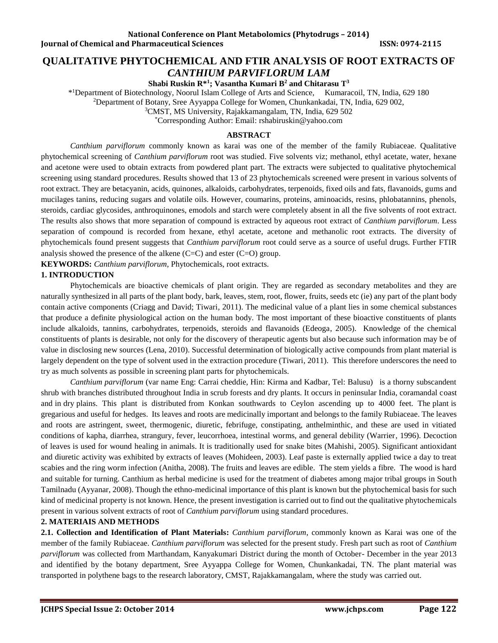# **QUALITATIVE PHYTOCHEMICAL AND FTIR ANALYSIS OF ROOT EXTRACTS OF**

*CANTHIUM PARVIFLORUM LAM* **Shabi Ruskin R\*<sup>1</sup> ; Vasantha Kumari B <sup>2</sup> and Chitarasu T 3**

\* <sup>1</sup>Department of Biotechnology, Noorul Islam College of Arts and Science, Kumaracoil, TN, India, 629 180

<sup>2</sup>Department of Botany, Sree Ayyappa College for Women, Chunkankadai, TN, India, 629 002,

<sup>3</sup>CMST, MS University, Rajakkamangalam, TN, India, 629 502

\*Corresponding Author: Email: [rshabiruskin@yahoo.com](mailto:rshabiruskin@yahoo.com)

# **ABSTRACT**

*Canthium parviflorum* commonly known as karai was one of the member of the family Rubiaceae. Qualitative phytochemical screening of *Canthium parviflorum* root was studied. Five solvents viz; methanol, ethyl acetate, water, hexane and acetone were used to obtain extracts from powdered plant part. The extracts were subjected to qualitative phytochemical screening using standard procedures. Results showed that 13 of 23 phytochemicals screened were present in various solvents of root extract. They are betacyanin, acids, quinones, alkaloids, carbohydrates, terpenoids, fixed oils and fats, flavanoids, gums and mucilages tanins, reducing sugars and volatile oils. However, coumarins, proteins, aminoacids, resins, phlobatannins, phenols, steroids, cardiac glycosides, anthroquinones, emodols and starch were completely absent in all the five solvents of root extract. The results also shows that more separation of compound is extracted by aqueous root extract of *Canthium parviflorum*. Less separation of compound is recorded from hexane, ethyl acetate, acetone and methanolic root extracts. The diversity of phytochemicals found present suggests that *Canthium parviflorum* root could serve as a source of useful drugs. Further FTIR analysis showed the presence of the alkene  $(C=C)$  and ester  $(C=O)$  group.

**KEYWORDS:** *Canthium parviflorum*, Phytochemicals, root extracts.

# **1. INTRODUCTION**

Phytochemicals are bioactive chemicals of plant origin. They are regarded as secondary metabolites and they are naturally synthesized in all parts of the plant body, bark, leaves, stem, root, flower, fruits, seeds etc (ie) any part of the plant body contain active components (Criagg and David; Tiwari, 2011). The medicinal value of a plant lies in some chemical substances that produce a definite physiological action on the human body. The most important of these bioactive constituents of plants include alkaloids, tannins, carbohydrates, terpenoids, steroids and flavanoids (Edeoga, 2005). Knowledge of the chemical constituents of plants is desirable, not only for the discovery of therapeutic agents but also because such information may be of value in disclosing new sources (Lena, 2010). Successful determination of biologically active compounds from plant material is largely dependent on the type of solvent used in the extraction procedure (Tiwari, 2011). This therefore underscores the need to try as much solvents as possible in screening plant parts for phytochemicals.

*Canthium parviflorum* (var name Eng: Carrai cheddie, Hin: Kirma and Kadbar, Tel: Balusu) is a thorny subscandent shrub with branches distributed throughout India in scrub forests and dry plants. It occurs in peninsular India, coramandal coast and in dry plains. This plant is distributed from Konkan southwards to Ceylon ascending up to 4000 feet. The plant is gregarious and useful for hedges. Its leaves and roots are medicinally important and belongs to the family Rubiaceae. The leaves and roots are astringent, sweet, thermogenic, diuretic, febrifuge, constipating, anthelminthic, and these are used in vitiated conditions of kapha, diarrhea, strangury, fever, leucorrhoea, intestinal worms, and general debility (Warrier, 1996). Decoction of leaves is used for wound healing in animals. It is traditionally used for snake bites (Mahishi, 2005). Significant antioxidant and diuretic activity was exhibited by extracts of leaves (Mohideen, 2003). Leaf paste is externally applied twice a day to treat scabies and the ring worm infection (Anitha, 2008). The fruits and leaves are edible. The stem yields a fibre. The wood is hard and suitable for turning. Canthium as herbal medicine is used for the treatment of diabetes among major tribal groups in South Tamilnadu (Ayyanar, 2008). Though the ethno-medicinal importance of this plant is known but the phytochemical basis for such kind of medicinal property is not known. Hence, the present investigation is carried out to find out the qualitative phytochemicals present in various solvent extracts of root of *Canthium parviflorum* using standard procedures.

# **2. MATERIAIS AND METHODS**

**2.1. Collection and Identification of Plant Materials:** *Canthium parviflorum*, commonly known as Karai was one of the member of the family Rubiaceae. *Canthium parviflorum* was selected for the present study. Fresh part such as root of *Canthium parviflorum* was collected from Marthandam, Kanyakumari District during the month of October- December in the year 2013 and identified by the botany department, Sree Ayyappa College for Women, Chunkankadai, TN. The plant material was transported in polythene bags to the research laboratory, CMST, Rajakkamangalam, where the study was carried out.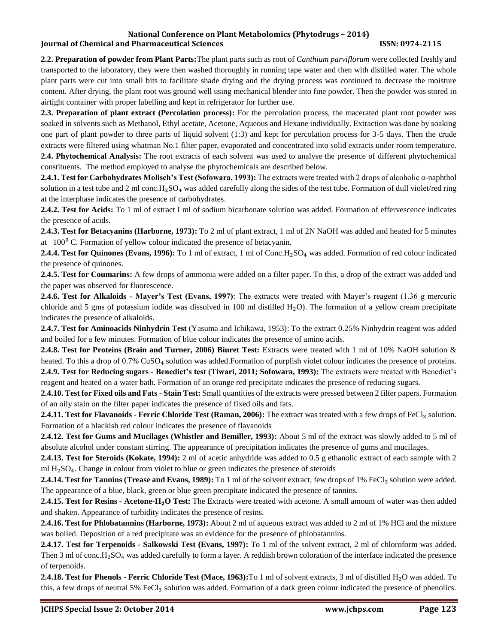**2.2. Preparation of powder from Plant Parts:**The plant parts such as root of *Canthium parviflorum* were collected freshly and transported to the laboratory, they were then washed thoroughly in running tape water and then with distilled water. The whole plant parts were cut into small bits to facilitate shade drying and the drying process was continued to decrease the moisture content. After drying, the plant root was ground well using mechanical blender into fine powder. Then the powder was stored in airtight container with proper labelling and kept in refrigerator for further use.

**2.3. Preparation of plant extract (Percolation process):** For the percolation process, the macerated plant root powder was soaked in solvents such as Methanol, Ethyl acetate, Acetone, Aqueous and Hexane individually. Extraction was done by soaking one part of plant powder to three parts of liquid solvent (1:3) and kept for percolation process for 3-5 days. Then the crude extracts were filtered using whatman No.1 filter paper, evaporated and concentrated into solid extracts under room temperature. **2.4. Phytochemical Analysis:** The root extracts of each solvent was used to analyse the presence of different phytochemical constituents. The method employed to analyse the phytochemicals are described below.

**2.4.1. Test for Carbohydrates Molisch's Test (Sofowara, 1993):** The extracts were treated with 2 drops of alcoholic α-naphthol solution in a test tube and 2 ml conc.H<sub>2</sub>SO<sub>4</sub> was added carefully along the sides of the test tube. Formation of dull violet/red ring at the interphase indicates the presence of carbohydrates.

**2.4.2. Test for Acids:** To 1 ml of extract I ml of sodium bicarbonate solution was added. Formation of effervescence indicates the presence of acids.

**2.4.3. Test for Betacyanins (Harborne, 1973):** To 2 ml of plant extract, 1 ml of 2N NaOH was added and heated for 5 minutes at  $100^{\circ}$  C. Formation of yellow colour indicated the presence of betacyanin.

**2.4.4. Test for Quinones (Evans, 1996):** To 1 ml of extract, 1 ml of Conc.H<sub>2</sub>SO<sub>4</sub> was added. Formation of red colour indicated the presence of quinones.

**2.4.5. Test for Coumarins:** A few drops of ammonia were added on a filter paper. To this, a drop of the extract was added and the paper was observed for fluorescence.

**2.4.6. Test for Alkaloids - Mayer's Test (Evans, 1997)**: The extracts were treated with Mayer's reagent (1.36 g mercuric chloride and 5 gms of potassium iodide was dissolved in 100 ml distilled H₂O). The formation of a yellow cream precipitate indicates the presence of alkaloids.

**2.4.7. Test for Aminoacids Ninhydrin Test** (Yasuma and Ichikawa, 1953): To the extract 0.25% Ninhydrin reagent was added and boiled for a few minutes. Formation of blue colour indicates the presence of amino acids.

**2.4.8. Test for Proteins (Brain and Turner, 2006) Biuret Test:** Extracts were treated with 1 ml of 10% NaOH solution & heated. To this a drop of 0.7% CuSO<sub>4</sub> solution was added.Formation of purplish violet colour indicates the presence of proteins. **2.4.9. Test for Reducing sugars - Benedict's test (Tiwari, 2011; Sofowara, 1993):** The extracts were treated with Benedict's reagent and heated on a water bath. Formation of an orange red precipitate indicates the presence of reducing sugars.

**2.4.10. Test for Fixed oils and Fats** - **Stain Test:** Small quantities of the extracts were pressed between 2 filter papers. Formation of an oily stain on the filter paper indicates the presence of fixed oils and fats.

**2.4.11. Test for Flavanoids - Ferric Chloride Test (Raman, 2006):** The extract was treated with a few drops of FeCl<sub>3</sub> solution. Formation of a blackish red colour indicates the presence of flavanoids

**2.4.12. Test for Gums and Mucilages (Whistler and Bemiller, 1993):** About 5 ml of the extract was slowly added to 5 ml of absolute alcohol under constant stirring. The appearance of precipitation indicates the presence of gums and mucilages.

**2.4.13. Test for Steroids (Kokate, 1994):** 2 ml of acetic anhydride was added to 0.5 g ethanolic extract of each sample with 2 ml  $H<sub>2</sub>SO<sub>4</sub>$ . Change in colour from violet to blue or green indicates the presence of steroids

**2.4.14. Test for Tannins (Trease and Evans, 1989):** To 1 ml of the solvent extract, few drops of 1% FeCl<sub>3</sub> solution were added. The appearance of a blue, black, green or blue green precipitate indicated the presence of tannins.

**2.4.15. Test for Resins - Acetone-H**₂**O Test:** The Extracts were treated with acetone. A small amount of water was then added and shaken. Appearance of turbidity indicates the presence of resins.

**2.4.16. Test for Phlobatannins (Harborne, 1973):** About 2 ml of aqueous extract was added to 2 ml of 1% HCl and the mixture was boiled. Deposition of a red precipitate was an evidence for the presence of phlobatannins.

**2.4.17. Test for Terpenoids - Salkowski Test (Evans, 1997):** To 1 ml of the solvent extract, 2 ml of chloroform was added. Then 3 ml of conc.H<sub>2</sub>SO<sub>4</sub> was added carefully to form a layer. A reddish brown coloration of the interface indicated the presence of terpenoids.

**2.4.18. Test for Phenols - Ferric Chloride Test (Mace, 1963):**To 1 ml of solvent extracts, 3 ml of distilled H₂O was added. To this, a few drops of neutral 5% FeCl<sub>3</sub> solution was added. Formation of a dark green colour indicated the presence of phenolics.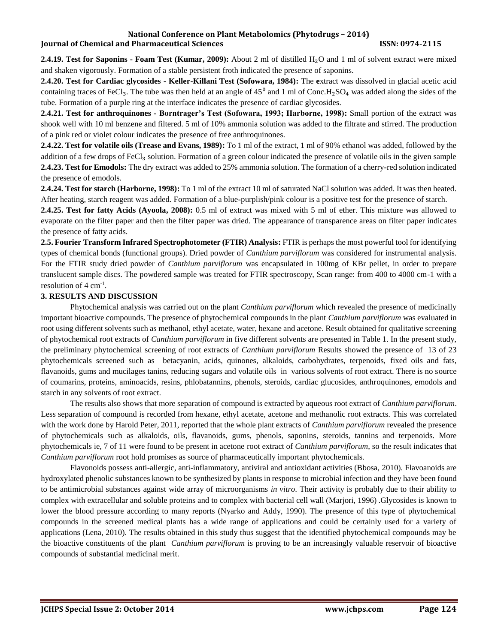**2.4.19. Test for Saponins - Foam Test (Kumar, 2009):** About 2 ml of distilled H<sub>2</sub>O and 1 ml of solvent extract were mixed and shaken vigorously. Formation of a stable persistent froth indicated the presence of saponins.

**2.4.20. Test for Cardiac glycosides - Keller-Killani Test (Sofowara, 1984):** The **e**xtract was dissolved in glacial acetic acid containing traces of FeCl3. The tube was then held at an angle of  $45^{\circ}$  and 1 ml of Conc.H<sub>2</sub>SO<sub>4</sub> was added along the sides of the tube. Formation of a purple ring at the interface indicates the presence of cardiac glycosides.

**2.4.21. Test for anthroquinones - Borntrager's Test (Sofowara, 1993; Harborne, 1998):** Small portion of the extract was shook well with 10 ml benzene and filtered. 5 ml of 10% ammonia solution was added to the filtrate and stirred. The production of a pink red or violet colour indicates the presence of free anthroquinones.

**2.4.22. Test for volatile oils (Trease and Evans, 1989):** To 1 ml of the extract, 1 ml of 90% ethanol was added, followed by the addition of a few drops of FeCl<sub>3</sub> solution. Formation of a green colour indicated the presence of volatile oils in the given sample **2.4.23. Test for Emodols:** The dry extract was added to 25% ammonia solution. The formation of a cherry**-**red solution indicated the presence of emodols.

**2.4.24. Test for starch (Harborne, 1998):** To 1 ml of the extract 10 ml of saturated NaCl solution was added. It was then heated. After heating, starch reagent was added. Formation of a blue**-**purplish/pink colour is a positive test for the presence of starch.

**2.4.25. Test for fatty Acids (Ayoola, 2008):** 0.5 ml of extract was mixed with 5 ml of ether. This mixture was allowed to evaporate on the filter paper and then the filter paper was dried. The appearance of transparence areas on filter paper indicates the presence of fatty acids.

**2.5. Fourier Transform Infrared Spectrophotometer (FTIR) Analysis:** FTIR is perhaps the most powerful tool for identifying types of chemical bonds (functional groups). Dried powder of *Canthium parviflorum* was considered for instrumental analysis. For the FTIR study dried powder of *Canthium parviflorum* was encapsulated in 100mg of KBr pellet, in order to prepare translucent sample discs. The powdered sample was treated for FTIR spectroscopy, Scan range: from 400 to 4000 cm-1 with a resolution of 4 cm<sup>-1</sup>.

# **3. RESULTS AND DISCUSSION**

Phytochemical analysis was carried out on the plant *Canthium parviflorum* which revealed the presence of medicinally important bioactive compounds. The presence of phytochemical compounds in the plant *Canthium parviflorum* was evaluated in root using different solvents such as methanol, ethyl acetate, water, hexane and acetone. Result obtained for qualitative screening of phytochemical root extracts of *Canthium parviflorum* in five different solvents are presented in Table 1. In the present study, the preliminary phytochemical screening of root extracts of *Canthium parviflorum* Results showed the presence of 13 of 23 phytochemicals screened such as betacyanin, acids, quinones, alkaloids, carbohydrates, terpenoids, fixed oils and fats, flavanoids, gums and mucilages tanins, reducing sugars and volatile oils in various solvents of root extract. There is no source of coumarins, proteins, aminoacids, resins, phlobatannins, phenols, steroids, cardiac glucosides, anthroquinones, emodols and starch in any solvents of root extract.

The results also shows that more separation of compound is extracted by aqueous root extract of *Canthium parviflorum*. Less separation of compound is recorded from hexane, ethyl acetate, acetone and methanolic root extracts. This was correlated with the work done by Harold Peter, 2011, reported that the whole plant extracts of *Canthium parviflorum* revealed the presence of phytochemicals such as alkaloids, oils, flavanoids, gums, phenols, saponins, steroids, tannins and terpenoids. More phytochemicals ie, 7 of 11 were found to be present in acetone root extract of *Canthium parviflorum*, so the result indicates that *Canthium parviflorum* root hold promises as source of pharmaceutically important phytochemicals.

Flavonoids possess anti-allergic, anti-inflammatory, antiviral and antioxidant activities (Bbosa, 2010). Flavoanoids are hydroxylated phenolic substances known to be synthesized by plants in response to microbial infection and they have been found to be antimicrobial substances against wide array of microorganisms *in vitro*. Their activity is probably due to their ability to complex with extracellular and soluble proteins and to complex with bacterial cell wall (Marjori, 1996) .Glycosides is known to lower the blood pressure according to many reports (Nyarko and Addy, 1990). The presence of this type of phytochemical compounds in the screened medical plants has a wide range of applications and could be certainly used for a variety of applications (Lena, 2010). The results obtained in this study thus suggest that the identified phytochemical compounds may be the bioactive constituents of the plant *Canthium parviflorum* is proving to be an increasingly valuable reservoir of bioactive compounds of substantial medicinal merit.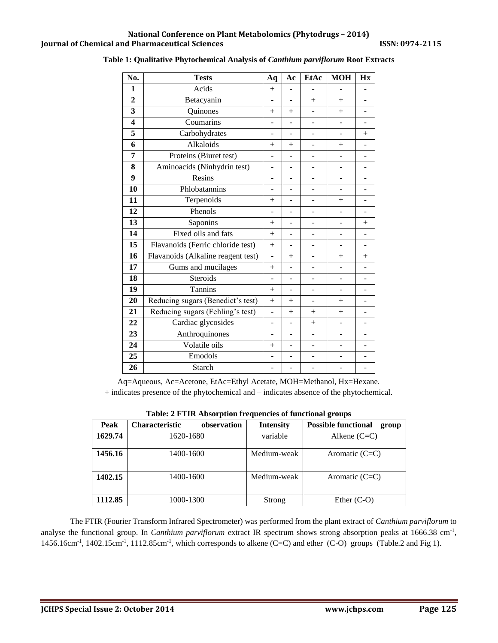| No.                     | <b>Tests</b>                       | Aq                       | Aс                       | EtAc                     | <b>MOH</b>     | Hx                       |
|-------------------------|------------------------------------|--------------------------|--------------------------|--------------------------|----------------|--------------------------|
| 1                       | Acids                              | $^{+}$                   |                          |                          |                |                          |
| $\overline{2}$          | Betacyanin                         | $\overline{a}$           | ÷,                       | $^{+}$                   | $+$            | $\overline{\phantom{0}}$ |
| 3                       | Quinones                           | $^{+}$                   | $^{+}$                   | $\overline{\phantom{0}}$ | $+$            | ۰                        |
| $\overline{\mathbf{4}}$ | Coumarins                          |                          |                          |                          |                |                          |
| 5                       | Carbohydrates                      |                          | $\overline{a}$           |                          | L,             | $^{+}$                   |
| 6                       | Alkaloids                          | $\mathrm{+}$             | $^{+}$                   | ÷,                       | $+$            |                          |
| 7                       | Proteins (Biuret test)             |                          |                          |                          |                |                          |
| 8                       | Aminoacids (Ninhydrin test)        | ٠                        |                          |                          | L              |                          |
| 9                       | Resins                             | $\overline{a}$           | ÷,                       | ÷,                       | $\overline{a}$ | ۰                        |
| 10                      | Phlobatannins                      |                          |                          |                          | ÷,             |                          |
| 11                      | Terpenoids                         | $^{+}$                   |                          |                          | $^{+}$         |                          |
| 12                      | Phenols                            | ÷,                       | $\overline{a}$           |                          | ÷              |                          |
| 13                      | Saponins                           | $+$                      | $\overline{a}$           | ä,                       | L,             | $^{+}$                   |
| 14                      | Fixed oils and fats                | $+$                      |                          |                          | -              |                          |
| $\overline{15}$         | Flavanoids (Ferric chloride test)  | $+$                      |                          |                          |                |                          |
| 16                      | Flavanoids (Alkaline reagent test) | ÷,                       | $+$<br>ä,                |                          | $^{+}$         | $+$                      |
| 17                      | Gums and mucilages                 | $+$                      |                          | ÷,                       | L,             |                          |
| 18                      | Steroids                           |                          |                          |                          |                |                          |
| 19                      | Tannins                            | $+$                      | $\overline{\phantom{m}}$ |                          | -              |                          |
| 20                      | Reducing sugars (Benedict's test)  | $^{+}$                   | $^{+}$                   | ÷,                       | $^{+}$         |                          |
| 21                      | Reducing sugars (Fehling's test)   | L.                       | $^{+}$                   | $+$                      | $+$            |                          |
| 22                      | Cardiac glycosides                 | L.                       |                          | $^{+}$                   | $\overline{a}$ |                          |
| 23                      | Anthroquinones                     | ÷                        | $\overline{a}$           | $\overline{\phantom{0}}$ | ÷,             |                          |
| 24                      | Volatile oils                      | $^{+}$                   |                          |                          | -              |                          |
| 25                      | Emodols                            | ÷,                       |                          |                          |                |                          |
| 26                      | Starch                             | $\overline{\phantom{0}}$ | $\overline{a}$           | $\overline{a}$           | -              | $\overline{\phantom{a}}$ |

### **Table 1: Qualitative Phytochemical Analysis of** *Canthium parviflorum* **Root Extracts**

Aq=Aqueous, Ac=Acetone, EtAc=Ethyl Acetate, MOH=Methanol, Hx=Hexane.

+ indicates presence of the phytochemical and – indicates absence of the phytochemical.

| $\sim$ 0.010 $\sim$ 0.010 $\sim$ 0.010 $\sim$ 0.010 $\sim$ 0.010 $\sim$ 0.010 $\sim$ 0.010 $\sim$ 0.010 $\sim$ 0.010 $\sim$ |                       |             |                  |                                     |  |  |  |  |  |
|-----------------------------------------------------------------------------------------------------------------------------|-----------------------|-------------|------------------|-------------------------------------|--|--|--|--|--|
| Peak                                                                                                                        | <b>Characteristic</b> | observation | <b>Intensity</b> | <b>Possible functional</b><br>group |  |  |  |  |  |
| 1629.74                                                                                                                     | 1620-1680             |             | variable         | Alkene $(C=C)$                      |  |  |  |  |  |
| 1456.16                                                                                                                     | 1400-1600             |             | Medium-weak      | Aromatic $(C=C)$                    |  |  |  |  |  |
| 1402.15                                                                                                                     | 1400-1600             |             | Medium-weak      | Aromatic $(C=C)$                    |  |  |  |  |  |
| 1112.85                                                                                                                     | 1000-1300             |             | Strong           | Ether $(C-O)$                       |  |  |  |  |  |

The FTIR (Fourier Transform Infrared Spectrometer) was performed from the plant extract of *Canthium parviflorum* to analyse the functional group. In *Canthium parviflorum* extract IR spectrum shows strong absorption peaks at 1666.38 cm<sup>-1</sup>,  $1456.16 \text{cm}^{-1}$ ,  $1402.15 \text{cm}^{-1}$ ,  $1112.85 \text{cm}^{-1}$ , which corresponds to alkene (C=C) and ether (C-O) groups (Table.2 and Fig 1).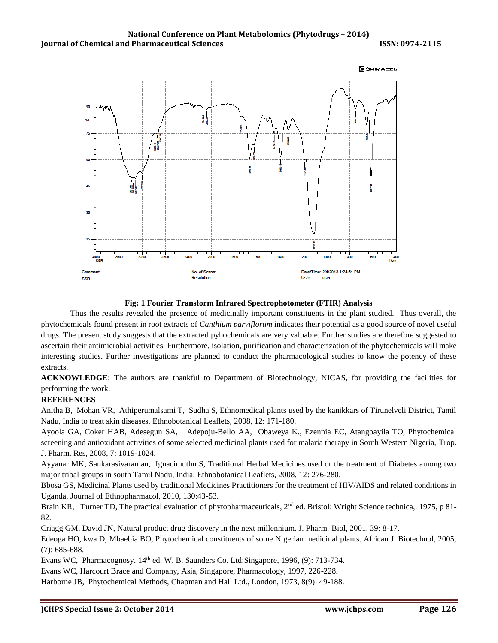

#### **Fig: 1 Fourier Transform Infrared Spectrophotometer (FTIR) Analysis**

Thus the results revealed the presence of medicinally important constituents in the plant studied. Thus overall, the phytochemicals found present in root extracts of *Canthium parviflorum* indicates their potential as a good source of novel useful drugs. The present study suggests that the extracted pyhochemicals are very valuable. Further studies are therefore suggested to ascertain their antimicrobial activities. Furthermore, isolation, purification and characterization of the phytochemicals will make interesting studies. Further investigations are planned to conduct the pharmacological studies to know the potency of these extracts.

**ACKNOWLEDGE**: The authors are thankful to Department of Biotechnology, NICAS, for providing the facilities for performing the work.

#### **REFERENCES**

Anitha B, Mohan VR, Athiperumalsami T, Sudha S, Ethnomedical plants used by the kanikkars of Tirunelveli District, Tamil Nadu, India to treat skin diseases, Ethnobotanical Leaflets, 2008, 12: 171-180.

Ayoola GA, Coker HAB, Adesegun SA, Adepoju-Bello AA, Obaweya K., Ezennia EC, Atangbayila TO, Phytochemical screening and antioxidant activities of some selected medicinal plants used for malaria therapy in South Western Nigeria, Trop. J. Pharm. Res, 2008, 7: 1019-1024.

Ayyanar MK, Sankarasivaraman, Ignacimuthu S, Traditional Herbal Medicines used or the treatment of Diabetes among two major tribal groups in south Tamil Nadu, India, Ethnobotanical Leaflets, 2008, 12: 276-280.

Bbosa GS, Medicinal Plants used by traditional Medicines Practitioners for the treatment of HIV/AIDS and related conditions in Uganda. Journal of Ethnopharmacol, 2010, 130:43-53.

Brain KR, Turner TD, The practical evaluation of phytopharmaceuticals, 2<sup>nd</sup> ed. Bristol: Wright Science technica,. 1975, p 81-82.

Criagg GM, David JN, Natural product drug discovery in the next millennium. J. Pharm. Biol, 2001, 39: 8-17.

Edeoga HO, kwa D, Mbaebia BO, Phytochemical constituents of some Nigerian medicinal plants. African J. Biotechnol, 2005, (7): 685-688.

Evans WC, Pharmacognosy. 14<sup>th</sup> ed. W. B. Saunders Co. Ltd; Singapore, 1996, (9): 713-734.

Evans WC, Harcourt Brace and Company, Asia, Singapore, Pharmacology, 1997, 226-228.

Harborne JB, Phytochemical Methods, Chapman and Hall Ltd., London, 1973, 8(9): 49-188.